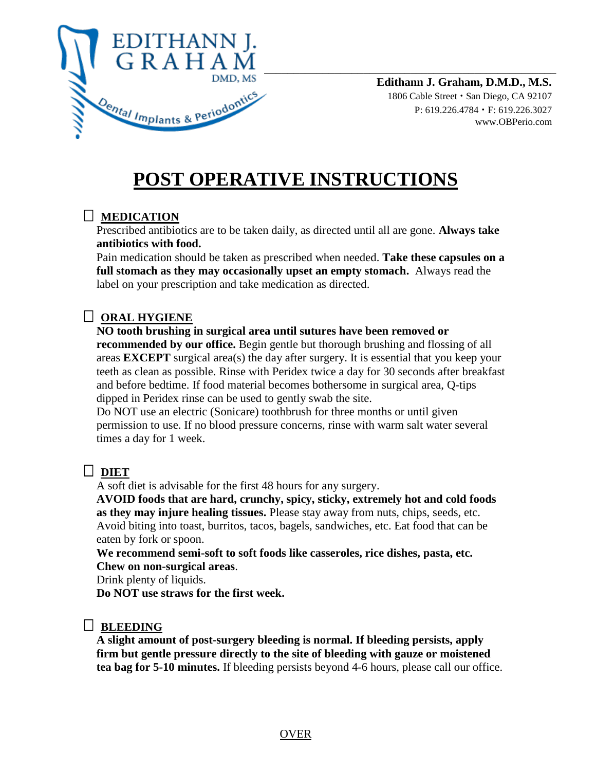

**Edithann J. Graham, D.M.D., M.S.** 1806 Cable Street • San Diego, CA 92107 P: 619.226.4784 • F: 619.226.3027 www.OBPerio.com

# **POST OPERATIVE INSTRUCTIONS**

## **MEDICATION**

Prescribed antibiotics are to be taken daily, as directed until all are gone. **Always take antibiotics with food.**

Pain medication should be taken as prescribed when needed. **Take these capsules on a full stomach as they may occasionally upset an empty stomach.** Always read the label on your prescription and take medication as directed.

# **ORAL HYGIENE**

**NO tooth brushing in surgical area until sutures have been removed or recommended by our office.** Begin gentle but thorough brushing and flossing of all areas **EXCEPT** surgical area(s) the day after surgery. It is essential that you keep your teeth as clean as possible. Rinse with Peridex twice a day for 30 seconds after breakfast and before bedtime. If food material becomes bothersome in surgical area, Q-tips dipped in Peridex rinse can be used to gently swab the site.

Do NOT use an electric (Sonicare) toothbrush for three months or until given permission to use. If no blood pressure concerns, rinse with warm salt water several times a day for 1 week.

## **DIET**

A soft diet is advisable for the first 48 hours for any surgery.

**AVOID foods that are hard, crunchy, spicy, sticky, extremely hot and cold foods as they may injure healing tissues.** Please stay away from nuts, chips, seeds, etc. Avoid biting into toast, burritos, tacos, bagels, sandwiches, etc. Eat food that can be eaten by fork or spoon.

**We recommend semi-soft to soft foods like casseroles, rice dishes, pasta, etc. Chew on non-surgical areas**.

Drink plenty of liquids.

**Do NOT use straws for the first week.**

## **BLEEDING**

**A slight amount of post-surgery bleeding is normal. If bleeding persists, apply firm but gentle pressure directly to the site of bleeding with gauze or moistened tea bag for 5-10 minutes.** If bleeding persists beyond 4-6 hours, please call our office.